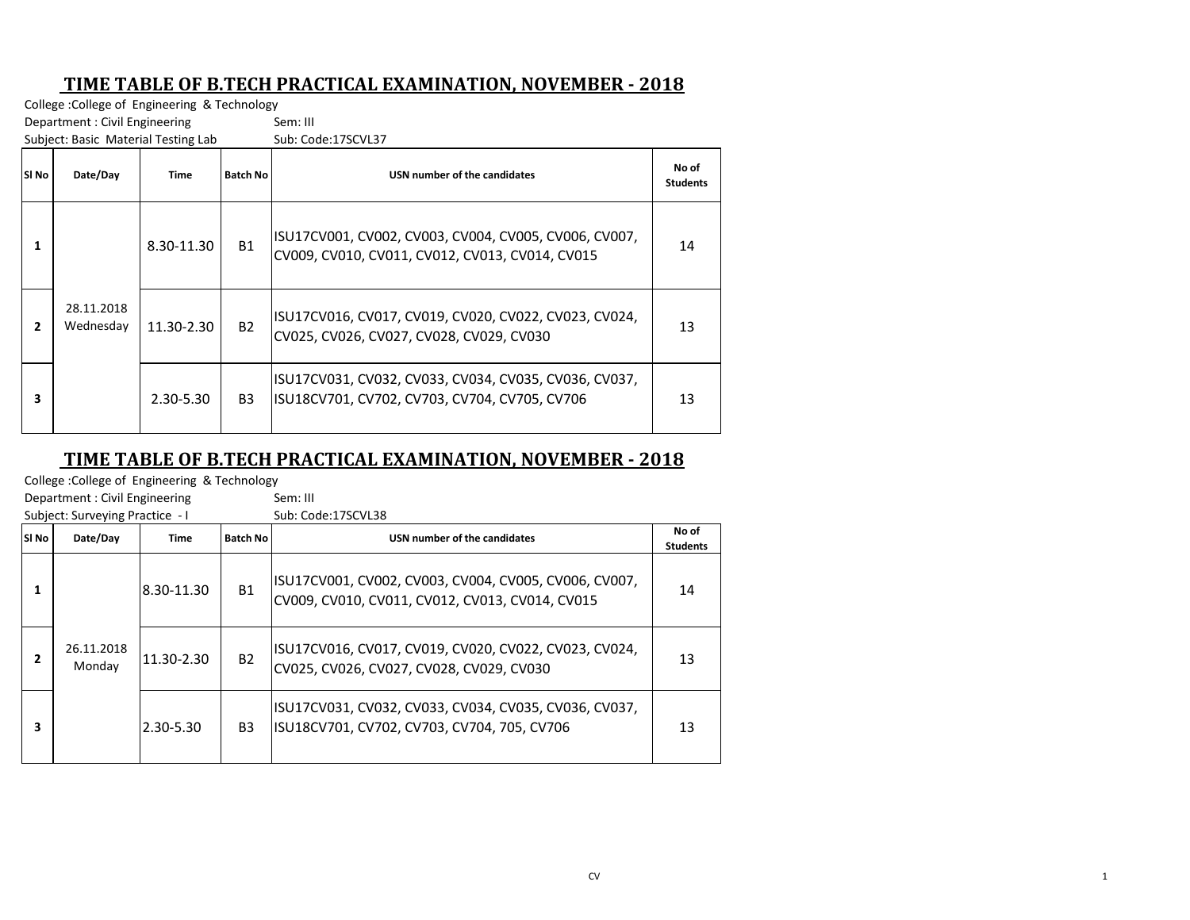College :College of Engineering & Technology Department : Civil Engineering Sem: III<br>Subject: Basic Material Testing Lab Sub: Code: 175CVL37

Subject: Basic Material Testing Lab

|       | Subject: Basic Material Testing Lab |            |                 | Sup: Code:17SCVL37                                                                                        |                          |
|-------|-------------------------------------|------------|-----------------|-----------------------------------------------------------------------------------------------------------|--------------------------|
| SI No | Date/Day                            | Time       | <b>Batch No</b> | USN number of the candidates                                                                              | No of<br><b>Students</b> |
| 1     |                                     | 8.30-11.30 | <b>B1</b>       | IISU17CV001, CV002, CV003, CV004, CV005, CV006, CV007,<br>CV009, CV010, CV011, CV012, CV013, CV014, CV015 | 14                       |
| 2     | 28.11.2018<br>Wednesday             | 11.30-2.30 | B2              | ISU17CV016, CV017, CV019, CV020, CV022, CV023, CV024,<br>CV025, CV026, CV027, CV028, CV029, CV030         | 13                       |
| 3     |                                     | 2.30-5.30  | B3              | ISU17CV031, CV032, CV033, CV034, CV035, CV036, CV037,<br>ISU18CV701, CV702, CV703, CV704, CV705, CV706    | 13                       |

### **TIME TABLE OF B.TECH PRACTICAL EXAMINATION, NOVEMBER - 2018**

|                                 | College: College of Engineering & Technology |            |                 |                                                                                                          |                          |  |  |  |
|---------------------------------|----------------------------------------------|------------|-----------------|----------------------------------------------------------------------------------------------------------|--------------------------|--|--|--|
| Department: Civil Engineering   |                                              |            |                 | Sem: III                                                                                                 |                          |  |  |  |
| Subject: Surveying Practice - I |                                              |            |                 | Sub: Code:17SCVL38                                                                                       |                          |  |  |  |
| SI No                           | Date/Day                                     | Time       | <b>Batch No</b> | USN number of the candidates                                                                             | No of<br><b>Students</b> |  |  |  |
|                                 |                                              | 8.30-11.30 | <b>B1</b>       | ISU17CV001, CV002, CV003, CV004, CV005, CV006, CV007,<br>CV009, CV010, CV011, CV012, CV013, CV014, CV015 | 14                       |  |  |  |
| 2                               | 26.11.2018<br>Monday                         | 11.30-2.30 | <b>B2</b>       | ISU17CV016, CV017, CV019, CV020, CV022, CV023, CV024,<br>CV025, CV026, CV027, CV028, CV029, CV030        | 13                       |  |  |  |
| 3                               |                                              | 2.30-5.30  | B <sub>3</sub>  | ISU17CV031, CV032, CV033, CV034, CV035, CV036, CV037,<br>ISU18CV701, CV702, CV703, CV704, 705, CV706     | 13                       |  |  |  |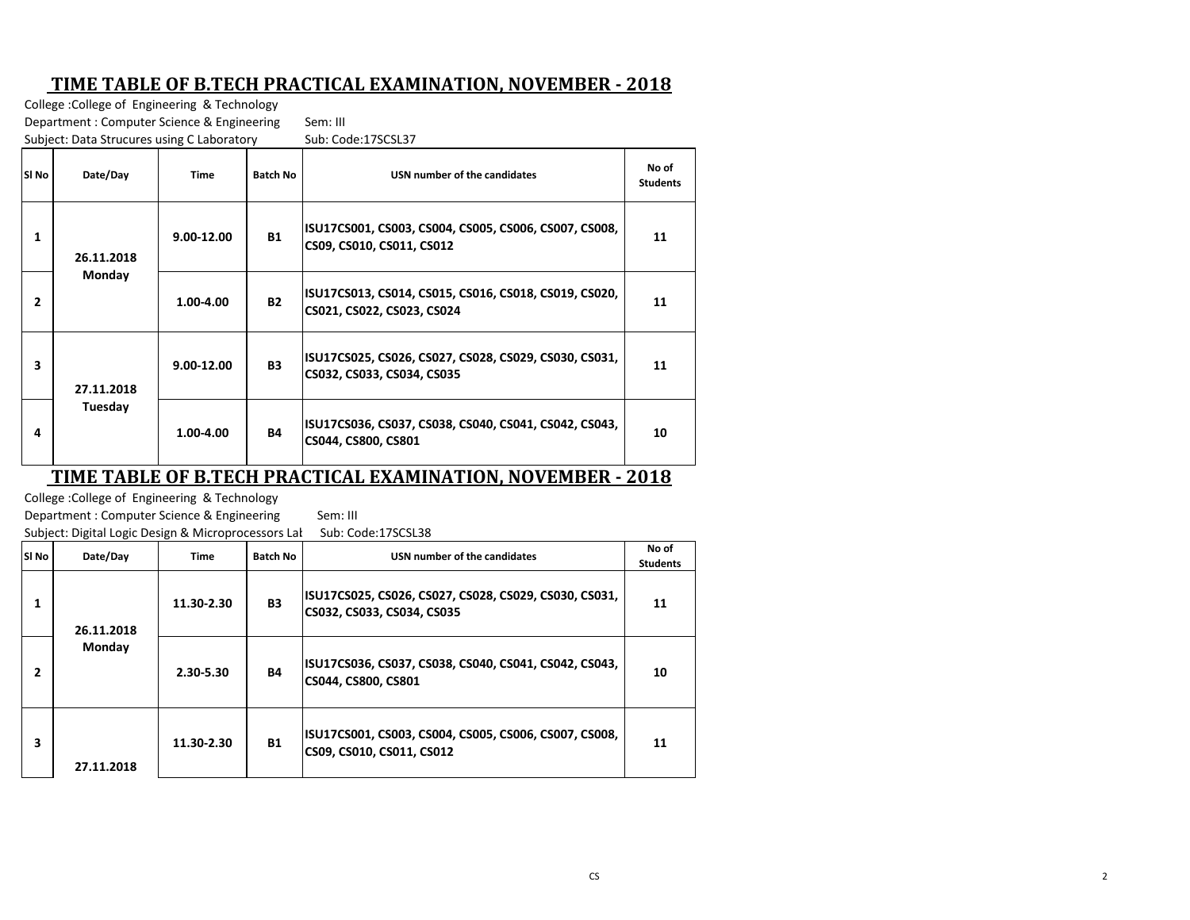College :College of Engineering & Technology Department : Computer Science & Engineering Sem: III Subject: Data Strucures using C Laboratory Sub: Code:17SCSL37

| <b>SI No</b>   | Date/Day   | Time       | <b>Batch No</b> | USN number of the candidates                                                        | No of<br><b>Students</b> |
|----------------|------------|------------|-----------------|-------------------------------------------------------------------------------------|--------------------------|
| 1              | 26.11.2018 | 9.00-12.00 | <b>B1</b>       | ISU17CS001, CS003, CS004, CS005, CS006, CS007, CS008,<br>CS09, CS010, CS011, CS012  | 11                       |
| $\overline{2}$ | Monday     | 1.00-4.00  | <b>B2</b>       | ISU17CS013, CS014, CS015, CS016, CS018, CS019, CS020,<br>CS021, CS022, CS023, CS024 | 11                       |
| 3              | 27.11.2018 | 9.00-12.00 | <b>B3</b>       | ISU17CS025, CS026, CS027, CS028, CS029, CS030, CS031,<br>CS032, CS033, CS034, CS035 | 11                       |
| 4              | Tuesday    | 1.00-4.00  | <b>B4</b>       | ISU17CS036, CS037, CS038, CS040, CS041, CS042, CS043,<br>CS044, CS800, CS801        | 10                       |

# **TIME TABLE OF B.TECH PRACTICAL EXAMINATION, NOVEMBER - 2018**

College :College of Engineering & Technology Department : Computer Science & Engineering Sem: III

Subject: Digital Logic Design & Microprocessors Lal Sub: Code:17SCSL38

| SI No | Date/Day   | Time       | <b>Batch No</b> | USN number of the candidates                                                        | No of<br><b>Students</b> |
|-------|------------|------------|-----------------|-------------------------------------------------------------------------------------|--------------------------|
| 1     | 26.11.2018 | 11.30-2.30 | B3              | ISU17CS025, CS026, CS027, CS028, CS029, CS030, CS031,<br>CS032, CS033, CS034, CS035 | 11                       |
| 2     | Monday     | 2.30-5.30  | <b>B4</b>       | ISU17CS036, CS037, CS038, CS040, CS041, CS042, CS043,<br>CS044, CS800, CS801        | 10                       |
| 3     | 27.11.2018 | 11.30-2.30 | <b>B1</b>       | ISU17CS001, CS003, CS004, CS005, CS006, CS007, CS008,<br>CS09, CS010, CS011, CS012  | 11                       |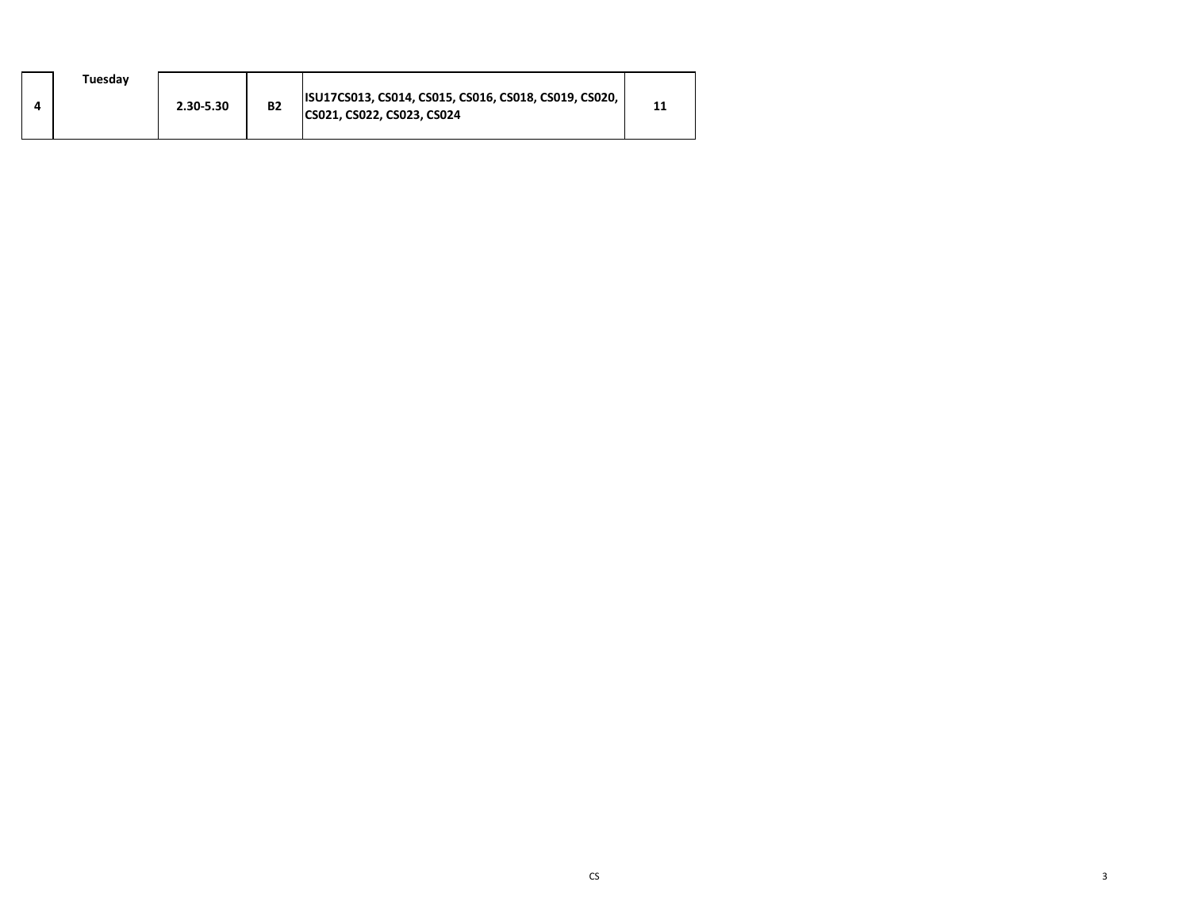| Tuesdav |           |           |                                                                                     |  |
|---------|-----------|-----------|-------------------------------------------------------------------------------------|--|
|         | 2.30-5.30 | <b>B2</b> | ISU17CS013, CS014, CS015, CS016, CS018, CS019, CS020,<br>CS021, CS022, CS023, CS024 |  |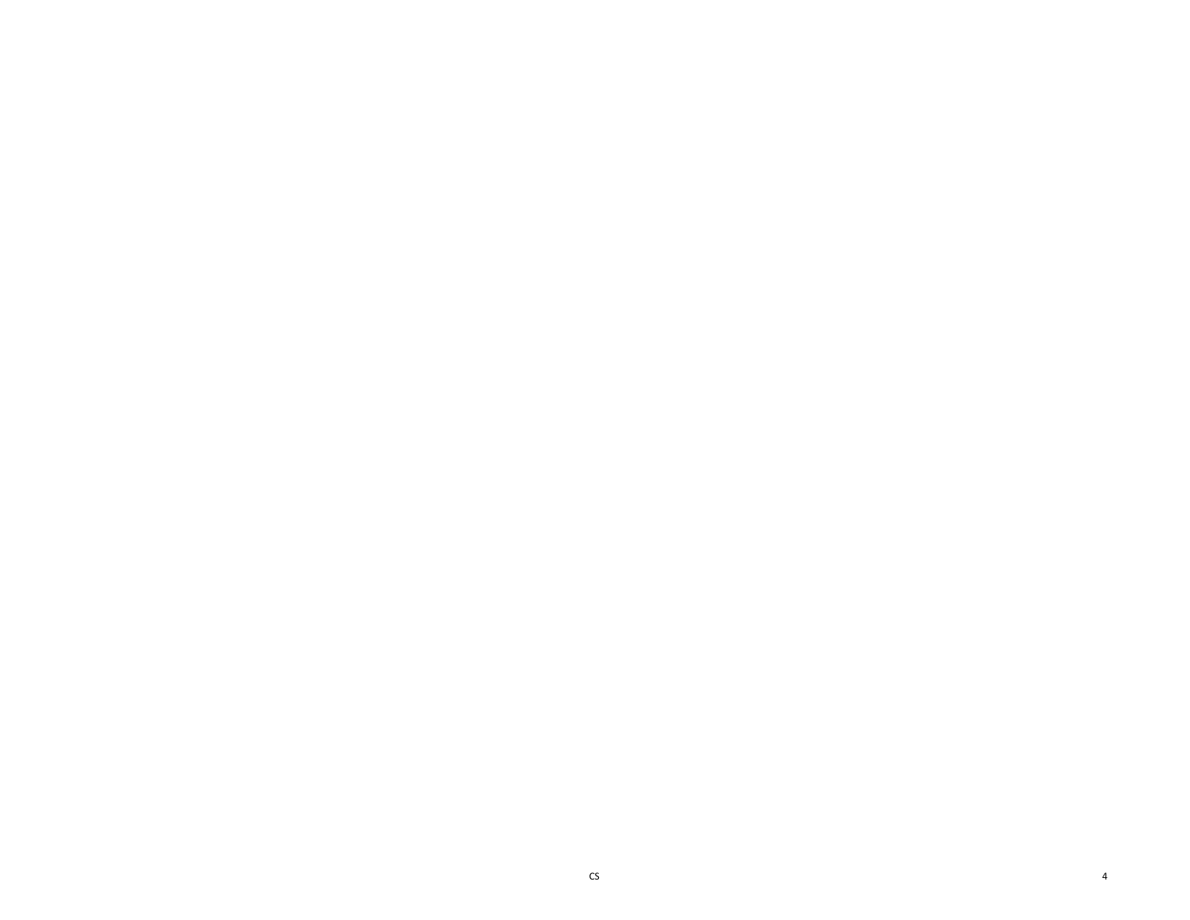$\overline{4}$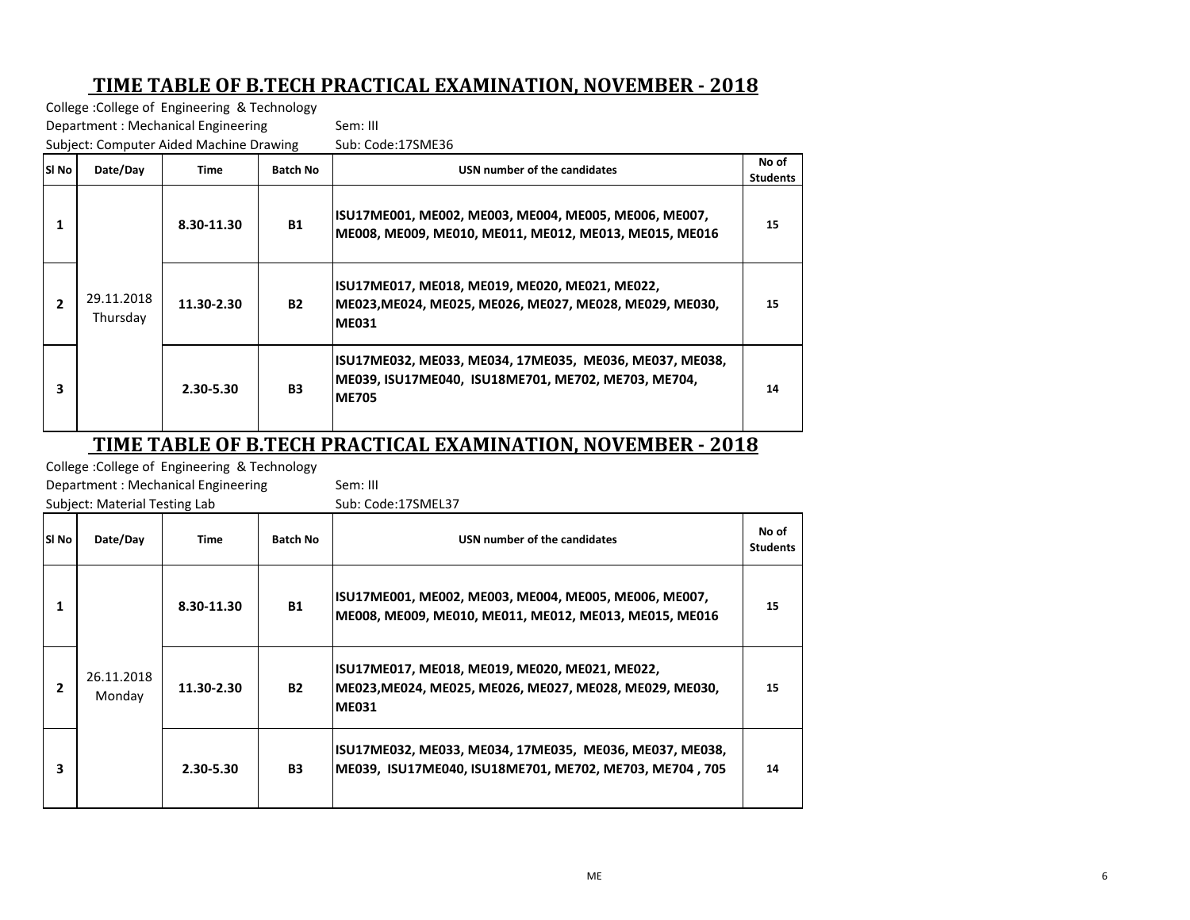College :College of Engineering & Technology Department : Mechanical Engineering Sem: III Subject: Computer Aided Machine Drawing Sub: Code:17SME36

| <b>SI No</b> | Date/Day               | Time       | <b>Batch No</b> | USN number of the candidates                                                                                                   | No of<br><b>Students</b> |
|--------------|------------------------|------------|-----------------|--------------------------------------------------------------------------------------------------------------------------------|--------------------------|
| 1            |                        | 8.30-11.30 | <b>B1</b>       | ISU17ME001, ME002, ME003, ME004, ME005, ME006, ME007,<br>ME008, ME009, ME010, ME011, ME012, ME013, ME015, ME016                | 15                       |
| $\mathbf{2}$ | 29.11.2018<br>Thursday | 11.30-2.30 | <b>B2</b>       | ISU17ME017, ME018, ME019, ME020, ME021, ME022,<br>ME023, ME024, ME025, ME026, ME027, ME028, ME029, ME030,<br><b>ME031</b>      | 15                       |
| 3            |                        | 2.30-5.30  | <b>B3</b>       | ISU17ME032, ME033, ME034, 17ME035, ME036, ME037, ME038,<br>ME039, ISU17ME040, ISU18ME701, ME702, ME703, ME704,<br><b>ME705</b> | 14                       |

# **TIME TABLE OF B.TECH PRACTICAL EXAMINATION, NOVEMBER - 2018**

| Date/Day             | <b>Time</b> | <b>Batch No</b>               | USN number of the candidates                                                                                         | No of<br><b>Students</b>       |
|----------------------|-------------|-------------------------------|----------------------------------------------------------------------------------------------------------------------|--------------------------------|
|                      | 8.30-11.30  | <b>B1</b>                     | ISU17ME001, ME002, ME003, ME004, ME005, ME006, ME007,<br>ME008, ME009, ME010, ME011, ME012, ME013, ME015, ME016      | 15                             |
| 26.11.2018<br>Monday | 11.30-2.30  | <b>B2</b>                     | ISU17ME017, ME018, ME019, ME020, ME021, ME022,<br> ME023,ME024, ME025, ME026, ME027, ME028, ME029, ME030,<br>ME031   | 15                             |
|                      | 2.30-5.30   | <b>B3</b>                     | ISU17ME032, ME033, ME034, 17ME035,  ME036, ME037, ME038,<br>ME039, ISU17ME040, ISU18ME701, ME702, ME703, ME704 , 705 | 14                             |
|                      |             | Subject: Material Testing Lab | College: College of Engineering & Technology<br>Department: Mechanical Engineering                                   | Sem: III<br>Sub: Code:17SMEL37 |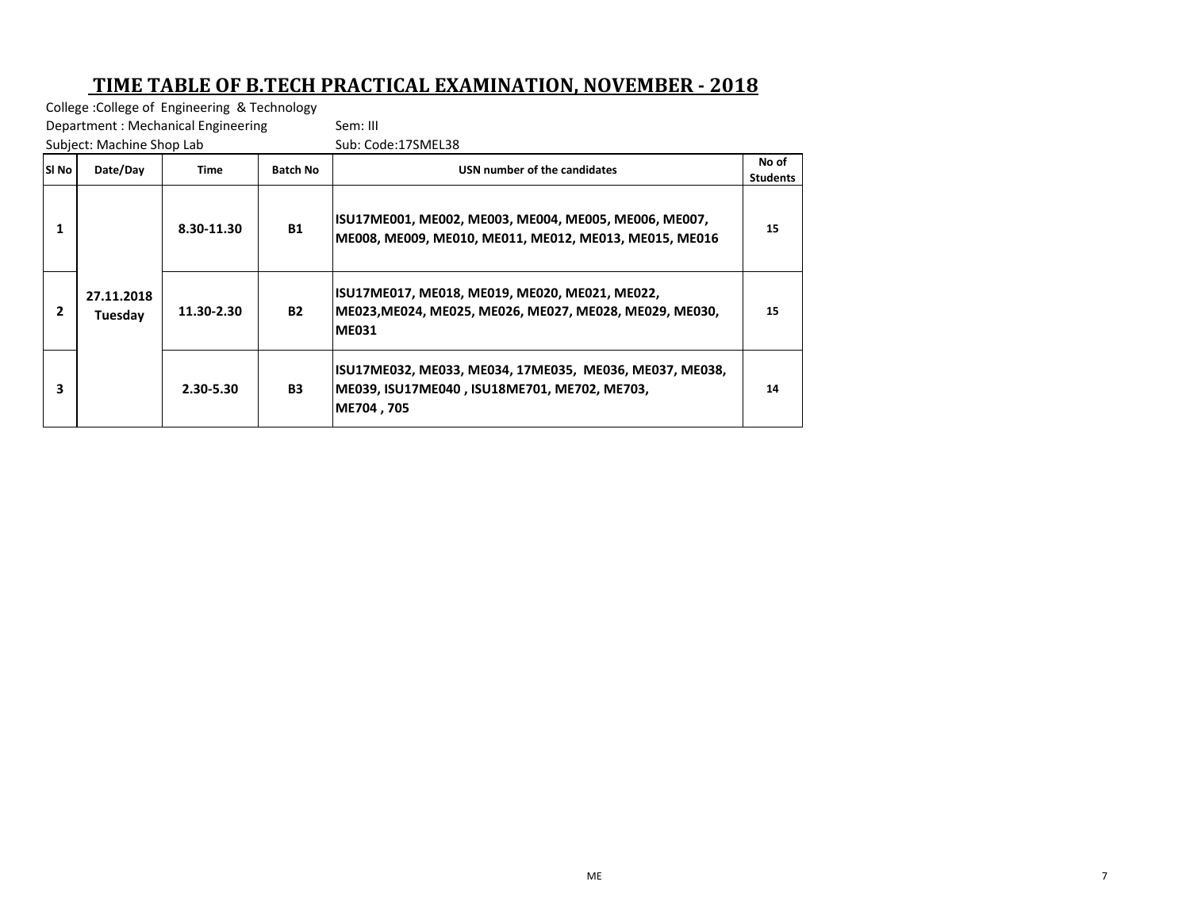College :College of Engineering & Technology Department : Mechanical Engineering Sem: III

Subject: Machine Shop Lab Sub: Code:17SMEL38

| SI No          | Date/Day              | Time       | <b>Batch No</b> | USN number of the candidates                                                                                             | No of<br><b>Students</b> |
|----------------|-----------------------|------------|-----------------|--------------------------------------------------------------------------------------------------------------------------|--------------------------|
| 1              |                       | 8.30-11.30 | <b>B1</b>       | ISU17ME001, ME002, ME003, ME004, ME005, ME006, ME007,<br>ME008, ME009, ME010, ME011, ME012, ME013, ME015, ME016          | 15                       |
| $\overline{2}$ | 27.11.2018<br>Tuesday | 11.30-2.30 | <b>B2</b>       | ISU17ME017, ME018, ME019, ME020, ME021, ME022,<br>ME023,ME024, ME025, ME026, ME027, ME028, ME029, ME030,<br><b>ME031</b> | 15                       |
| 3              |                       | 2.30-5.30  | <b>B3</b>       | ISU17ME032, ME033, ME034, 17ME035, ME036, ME037, ME038,<br> ME039, ISU17ME040 , ISU18ME701, ME702, ME703,<br>ME704, 705  | 14                       |